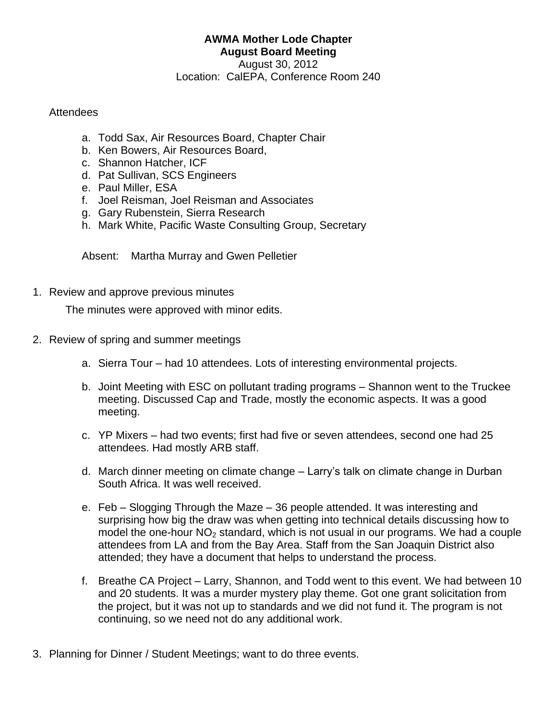## **AWMA Mother Lode Chapter August Board Meeting**

August 30, 2012 Location: CalEPA, Conference Room 240

## **Attendees**

- a. Todd Sax, Air Resources Board, Chapter Chair
- b. Ken Bowers, Air Resources Board,
- c. Shannon Hatcher, ICF
- d. Pat Sullivan, SCS Engineers
- e. Paul Miller, ESA
- f. Joel Reisman, Joel Reisman and Associates
- g. Gary Rubenstein, Sierra Research
- h. Mark White, Pacific Waste Consulting Group, Secretary

Absent: Martha Murray and Gwen Pelletier

1. Review and approve previous minutes

The minutes were approved with minor edits.

- 2. Review of spring and summer meetings
	- a. Sierra Tour had 10 attendees. Lots of interesting environmental projects.
	- b. Joint Meeting with ESC on pollutant trading programs Shannon went to the Truckee meeting. Discussed Cap and Trade, mostly the economic aspects. It was a good meeting.
	- c. YP Mixers had two events; first had five or seven attendees, second one had 25 attendees. Had mostly ARB staff.
	- d. March dinner meeting on climate change Larry's talk on climate change in Durban South Africa. It was well received.
	- e. Feb Slogging Through the Maze 36 people attended. It was interesting and surprising how big the draw was when getting into technical details discussing how to model the one-hour  $NO<sub>2</sub>$  standard, which is not usual in our programs. We had a couple attendees from LA and from the Bay Area. Staff from the San Joaquin District also attended; they have a document that helps to understand the process.
	- f. Breathe CA Project Larry, Shannon, and Todd went to this event. We had between 10 and 20 students. It was a murder mystery play theme. Got one grant solicitation from the project, but it was not up to standards and we did not fund it. The program is not continuing, so we need not do any additional work.
- 3. Planning for Dinner / Student Meetings; want to do three events.